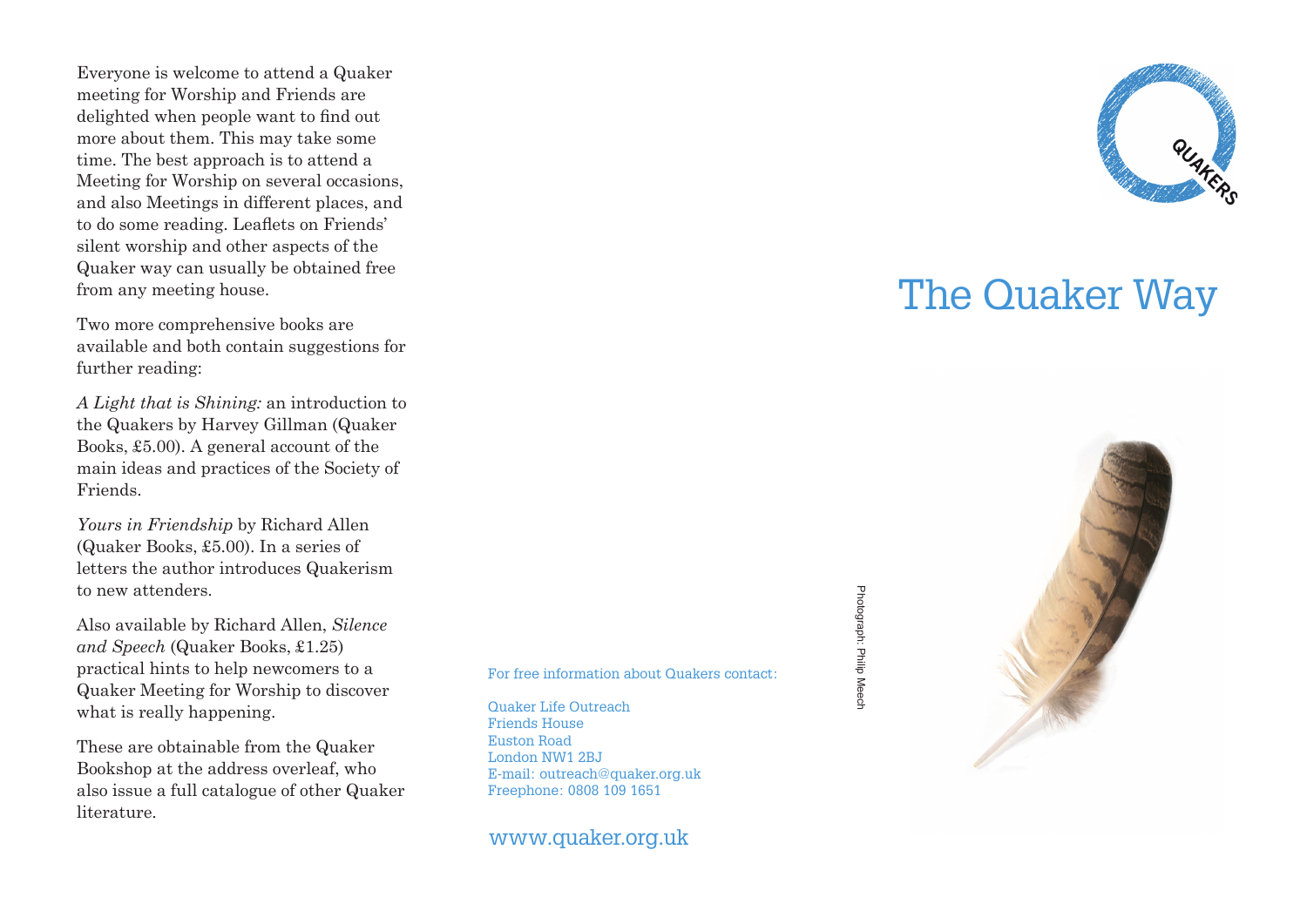Everyone is welcome to attend a Quaker meeting for Worship and Friends are delighted when people want to find out more about them. This may take some time. The best approach is to attend a Meeting for Worship on several occasions, and also Meetings in different places, and to do some reading. Leaflets on Friends' silent worship and other aspects of the Quaker way can usually be obtained free from any meeting house.

Two more comprehensive books are available and both contain suggestions for further reading:

*A Light that is Shining:* an introduction to the Quakers by Harvey Gillman (Quaker Books, £5.00). A general account of the main ideas and practices of the Society of Friends.

*Yours in Friendship* by Richard Allen (Quaker Books, £5.00). In a series of letters the author introduces Quakerism to new attenders.

Also available by Richard Allen, *Silence and Speech* (Quaker Books, £1.25) practical hints to help newcomers to a Quaker Meeting for Worship to discover what is really happening.

These are obtainable from the Quaker Bookshop at the address overleaf, who also issue a full catalogue of other Quaker literature.

For free information about Quakers contact:

Quaker Life Outreach Friends House Euston Road London NW1 2BJ E-mail: outreach@quaker.org.uk Freephone: 0808 109 1651

www.quaker.org.uk



## The Quaker Way

Photograph: Philip Meech Photograph: Philip Meech